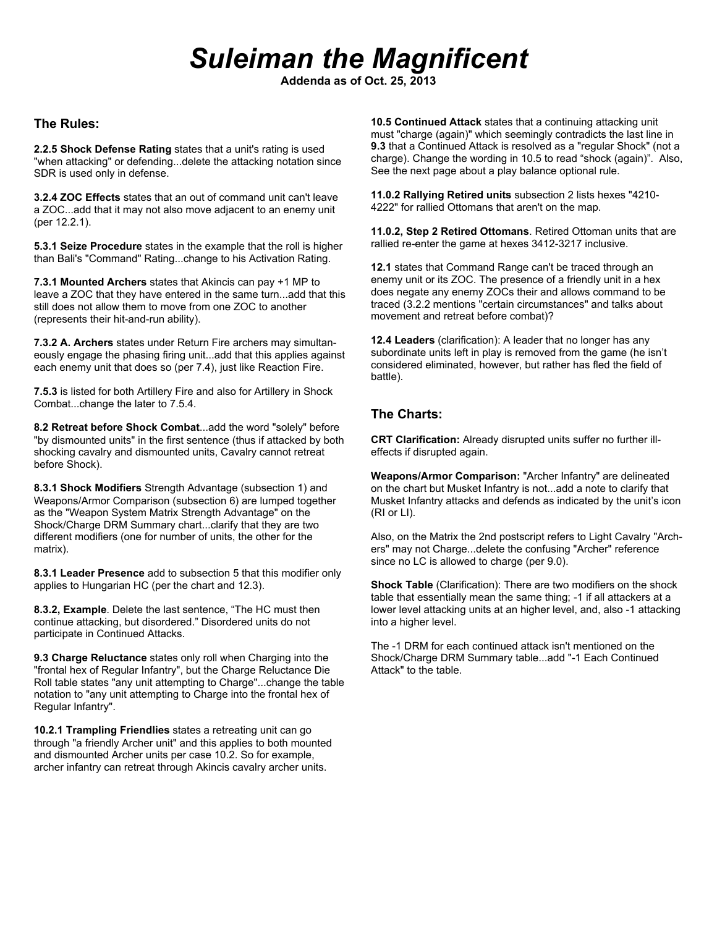# *Suleiman the Magnificent*

**Addenda as of Oct. 25, 2013**

#### **The Rules:**

**2.2.5 Shock Defense Rating** states that a unit's rating is used "when attacking" or defending...delete the attacking notation since SDR is used only in defense.

**3.2.4 ZOC Effects** states that an out of command unit can't leave a ZOC...add that it may not also move adjacent to an enemy unit (per 12.2.1).

**5.3.1 Seize Procedure** states in the example that the roll is higher than Bali's "Command" Rating...change to his Activation Rating.

**7.3.1 Mounted Archers** states that Akincis can pay +1 MP to leave a ZOC that they have entered in the same turn...add that this still does not allow them to move from one ZOC to another (represents their hit-and-run ability).

**7.3.2 A. Archers** states under Return Fire archers may simultaneously engage the phasing firing unit...add that this applies against each enemy unit that does so (per 7.4), just like Reaction Fire.

**7.5.3** is listed for both Artillery Fire and also for Artillery in Shock Combat...change the later to 7.5.4.

**8.2 Retreat before Shock Combat**...add the word "solely" before "by dismounted units" in the first sentence (thus if attacked by both shocking cavalry and dismounted units, Cavalry cannot retreat before Shock).

**8.3.1 Shock Modifiers** Strength Advantage (subsection 1) and Weapons/Armor Comparison (subsection 6) are lumped together as the "Weapon System Matrix Strength Advantage" on the Shock/Charge DRM Summary chart...clarify that they are two different modifiers (one for number of units, the other for the matrix).

**8.3.1 Leader Presence** add to subsection 5 that this modifier only applies to Hungarian HC (per the chart and 12.3).

**8.3.2, Example**. Delete the last sentence, "The HC must then continue attacking, but disordered." Disordered units do not participate in Continued Attacks.

**9.3 Charge Reluctance** states only roll when Charging into the "frontal hex of Regular Infantry", but the Charge Reluctance Die Roll table states "any unit attempting to Charge"...change the table notation to "any unit attempting to Charge into the frontal hex of Regular Infantry".

**10.2.1 Trampling Friendlies** states a retreating unit can go through "a friendly Archer unit" and this applies to both mounted and dismounted Archer units per case 10.2. So for example, archer infantry can retreat through Akincis cavalry archer units.

**10.5 Continued Attack** states that a continuing attacking unit must "charge (again)" which seemingly contradicts the last line in **9.3** that a Continued Attack is resolved as a "regular Shock" (not a charge). Change the wording in 10.5 to read "shock (again)". Also, See the next page about a play balance optional rule.

**11.0.2 Rallying Retired units** subsection 2 lists hexes "4210- 4222" for rallied Ottomans that aren't on the map.

**11.0.2, Step 2 Retired Ottomans**. Retired Ottoman units that are rallied re-enter the game at hexes 3412-3217 inclusive.

**12.1** states that Command Range can't be traced through an enemy unit or its ZOC. The presence of a friendly unit in a hex does negate any enemy ZOCs their and allows command to be traced (3.2.2 mentions "certain circumstances" and talks about movement and retreat before combat)?

**12.4 Leaders** (clarification): A leader that no longer has any subordinate units left in play is removed from the game (he isn't considered eliminated, however, but rather has fled the field of battle).

## **The Charts:**

**CRT Clarification:** Already disrupted units suffer no further illeffects if disrupted again.

**Weapons/Armor Comparison:** "Archer Infantry" are delineated on the chart but Musket Infantry is not...add a note to clarify that Musket Infantry attacks and defends as indicated by the unit's icon (RI or LI).

Also, on the Matrix the 2nd postscript refers to Light Cavalry "Archers" may not Charge...delete the confusing "Archer" reference since no LC is allowed to charge (per 9.0).

**Shock Table** (Clarification): There are two modifiers on the shock table that essentially mean the same thing; -1 if all attackers at a lower level attacking units at an higher level, and, also -1 attacking into a higher level.

The -1 DRM for each continued attack isn't mentioned on the Shock/Charge DRM Summary table...add "-1 Each Continued Attack" to the table.